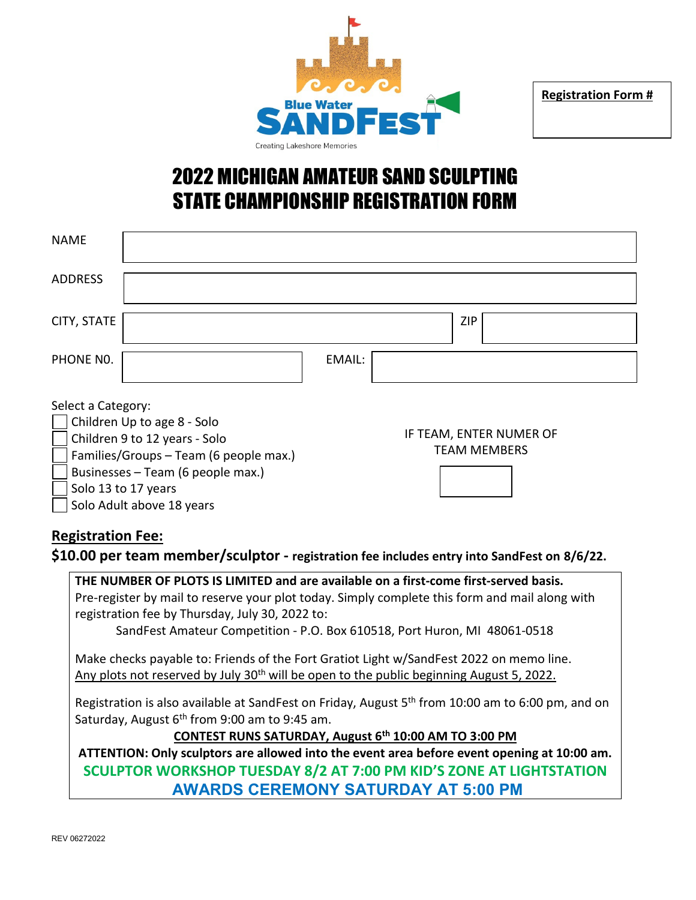

**Registration Form #**

### 2022 MICHIGAN AMATEUR SAND SCULPTING STATE CHAMPIONSHIP REGISTRATION FORM

| <b>NAME</b>                                                                                                                                                                              |  |                                                |  |     |  |  |
|------------------------------------------------------------------------------------------------------------------------------------------------------------------------------------------|--|------------------------------------------------|--|-----|--|--|
| <b>ADDRESS</b>                                                                                                                                                                           |  |                                                |  |     |  |  |
| CITY, STATE                                                                                                                                                                              |  |                                                |  | ZIP |  |  |
| PHONE NO.                                                                                                                                                                                |  | EMAIL:                                         |  |     |  |  |
| Select a Category:<br>Children Up to age 8 - Solo<br>Children 9 to 12 years - Solo<br>Families/Groups - Team (6 people max.)<br>Businesses - Team (6 people max.)<br>Solo 13 to 17 years |  | IF TEAM, ENTER NUMER OF<br><b>TEAM MEMBERS</b> |  |     |  |  |

### **Registration Fee:**

Solo Adult above 18 years

#### **\$10.00 per team member/sculptor - registration fee includes entry into SandFest on 8/6/22.**

**THE NUMBER OF PLOTS IS LIMITED and are available on a first-come first-served basis.** Pre-register by mail to reserve your plot today. Simply complete this form and mail along with registration fee by Thursday, July 30, 2022 to: SandFest Amateur Competition - P.O. Box 610518, Port Huron, MI 48061-0518 Make checks payable to: Friends of the Fort Gratiot Light w/SandFest 2022 on memo line. Any plots not reserved by July  $30<sup>th</sup>$  will be open to the public beginning August 5, 2022. Registration is also available at SandFest on Friday, August 5<sup>th</sup> from 10:00 am to 6:00 pm, and on Saturday, August  $6<sup>th</sup>$  from 9:00 am to 9:45 am. **CONTEST RUNS SATURDAY, August 6th 10:00 AM TO 3:00 PM ATTENTION: Only sculptors are allowed into the event area before event opening at 10:00 am. SCULPTOR WORKSHOP TUESDAY 8/2 AT 7:00 PM KID'S ZONE AT LIGHTSTATION AWARDS CEREMONY SATURDAY AT 5:00 PM**